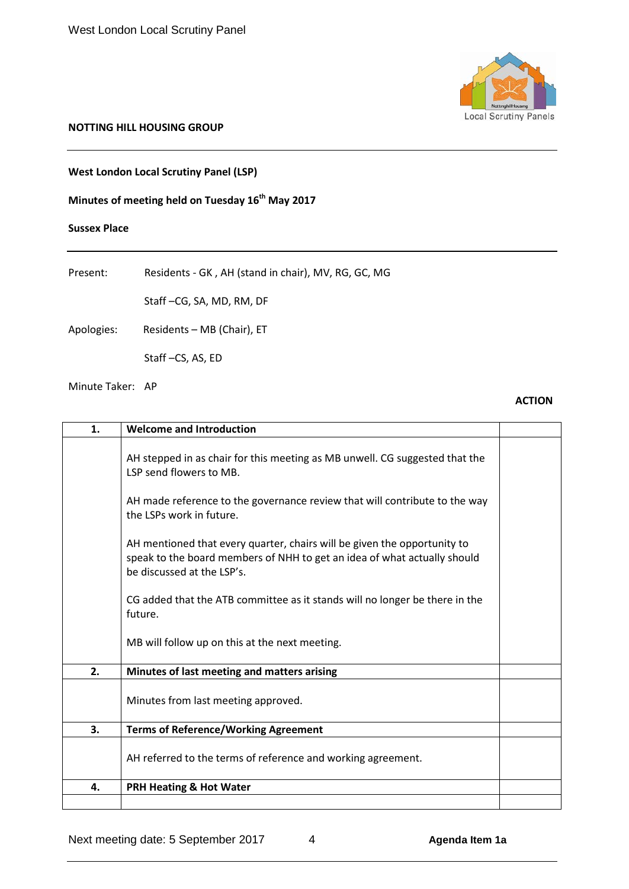

#### **NOTTING HILL HOUSING GROUP**

## **West London Local Scrutiny Panel (LSP)**

# **Minutes of meeting held on Tuesday 16<sup>th</sup> May 2017**

#### **Sussex Place**

| Present:   | Residents - GK, AH (stand in chair), MV, RG, GC, MG |
|------------|-----------------------------------------------------|
|            | Staff-CG, SA, MD, RM, DF                            |
| Apologies: | Residents - MB (Chair), ET                          |

Staff –CS, AS, ED

Minute Taker: AP

### **ACTION**

| 1. | <b>Welcome and Introduction</b>                                                                                                                                                    |  |
|----|------------------------------------------------------------------------------------------------------------------------------------------------------------------------------------|--|
|    | AH stepped in as chair for this meeting as MB unwell. CG suggested that the<br>LSP send flowers to MB.                                                                             |  |
|    | AH made reference to the governance review that will contribute to the way<br>the LSPs work in future.                                                                             |  |
|    | AH mentioned that every quarter, chairs will be given the opportunity to<br>speak to the board members of NHH to get an idea of what actually should<br>be discussed at the LSP's. |  |
|    | CG added that the ATB committee as it stands will no longer be there in the<br>future.                                                                                             |  |
|    | MB will follow up on this at the next meeting.                                                                                                                                     |  |
| 2. | Minutes of last meeting and matters arising                                                                                                                                        |  |
|    | Minutes from last meeting approved.                                                                                                                                                |  |
| 3. | <b>Terms of Reference/Working Agreement</b>                                                                                                                                        |  |
|    | AH referred to the terms of reference and working agreement.                                                                                                                       |  |
| 4. | <b>PRH Heating &amp; Hot Water</b>                                                                                                                                                 |  |
|    |                                                                                                                                                                                    |  |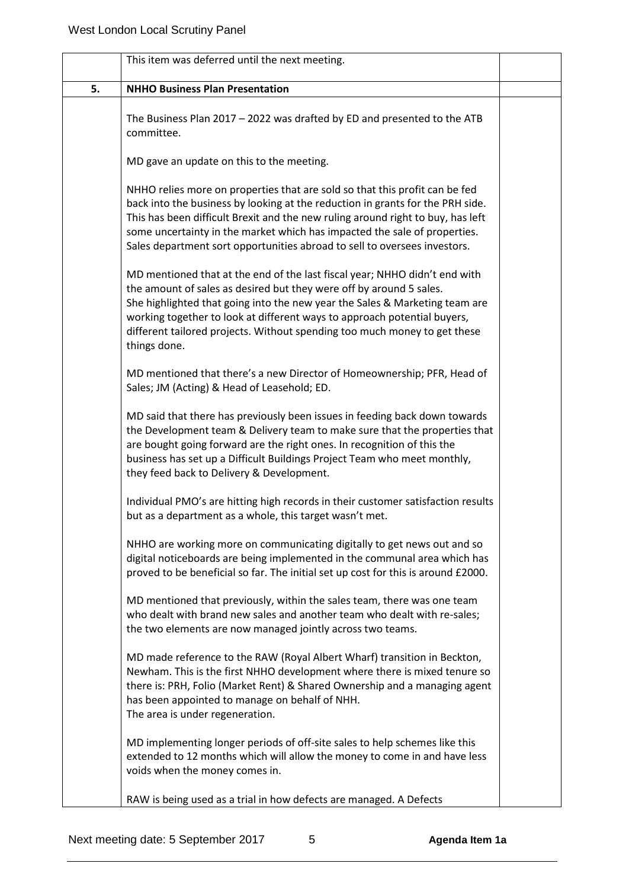|    | This item was deferred until the next meeting.                                                                                                                                                                                                                                                                                                                                                             |  |
|----|------------------------------------------------------------------------------------------------------------------------------------------------------------------------------------------------------------------------------------------------------------------------------------------------------------------------------------------------------------------------------------------------------------|--|
| 5. | <b>NHHO Business Plan Presentation</b>                                                                                                                                                                                                                                                                                                                                                                     |  |
|    | The Business Plan 2017 - 2022 was drafted by ED and presented to the ATB<br>committee.                                                                                                                                                                                                                                                                                                                     |  |
|    | MD gave an update on this to the meeting.                                                                                                                                                                                                                                                                                                                                                                  |  |
|    | NHHO relies more on properties that are sold so that this profit can be fed<br>back into the business by looking at the reduction in grants for the PRH side.<br>This has been difficult Brexit and the new ruling around right to buy, has left<br>some uncertainty in the market which has impacted the sale of properties.<br>Sales department sort opportunities abroad to sell to oversees investors. |  |
|    | MD mentioned that at the end of the last fiscal year; NHHO didn't end with<br>the amount of sales as desired but they were off by around 5 sales.<br>She highlighted that going into the new year the Sales & Marketing team are<br>working together to look at different ways to approach potential buyers,<br>different tailored projects. Without spending too much money to get these<br>things done.  |  |
|    | MD mentioned that there's a new Director of Homeownership; PFR, Head of<br>Sales; JM (Acting) & Head of Leasehold; ED.                                                                                                                                                                                                                                                                                     |  |
|    | MD said that there has previously been issues in feeding back down towards<br>the Development team & Delivery team to make sure that the properties that<br>are bought going forward are the right ones. In recognition of this the<br>business has set up a Difficult Buildings Project Team who meet monthly,<br>they feed back to Delivery & Development.                                               |  |
|    | Individual PMO's are hitting high records in their customer satisfaction results<br>but as a department as a whole, this target wasn't met.                                                                                                                                                                                                                                                                |  |
|    | NHHO are working more on communicating digitally to get news out and so<br>digital noticeboards are being implemented in the communal area which has<br>proved to be beneficial so far. The initial set up cost for this is around £2000.                                                                                                                                                                  |  |
|    | MD mentioned that previously, within the sales team, there was one team<br>who dealt with brand new sales and another team who dealt with re-sales;<br>the two elements are now managed jointly across two teams.                                                                                                                                                                                          |  |
|    | MD made reference to the RAW (Royal Albert Wharf) transition in Beckton,<br>Newham. This is the first NHHO development where there is mixed tenure so<br>there is: PRH, Folio (Market Rent) & Shared Ownership and a managing agent<br>has been appointed to manage on behalf of NHH.<br>The area is under regeneration.                                                                                   |  |
|    | MD implementing longer periods of off-site sales to help schemes like this<br>extended to 12 months which will allow the money to come in and have less<br>voids when the money comes in.                                                                                                                                                                                                                  |  |
|    | RAW is being used as a trial in how defects are managed. A Defects                                                                                                                                                                                                                                                                                                                                         |  |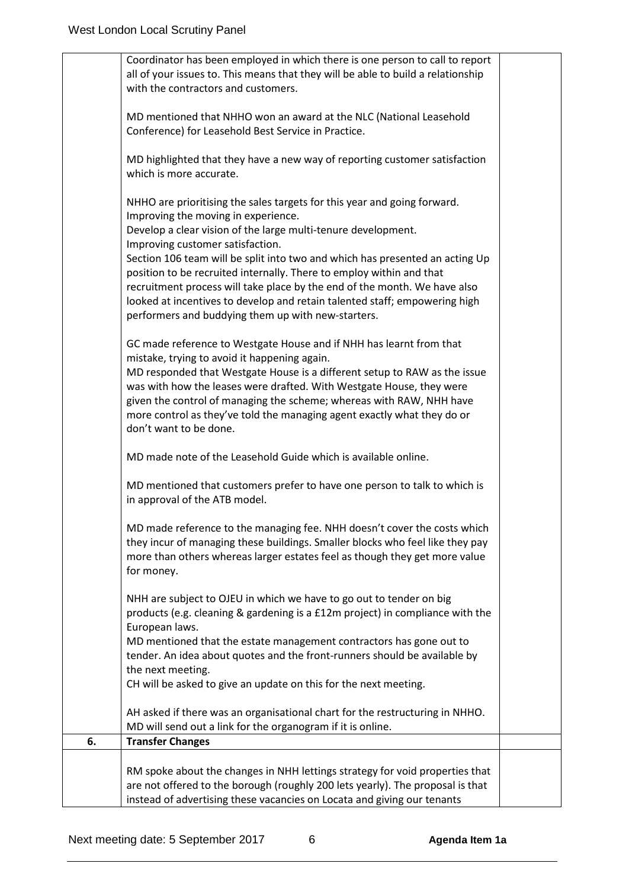|    | Coordinator has been employed in which there is one person to call to report<br>all of your issues to. This means that they will be able to build a relationship<br>with the contractors and customers.                                                                                                                                                                                                                                                                                                                                                                                       |  |
|----|-----------------------------------------------------------------------------------------------------------------------------------------------------------------------------------------------------------------------------------------------------------------------------------------------------------------------------------------------------------------------------------------------------------------------------------------------------------------------------------------------------------------------------------------------------------------------------------------------|--|
|    | MD mentioned that NHHO won an award at the NLC (National Leasehold<br>Conference) for Leasehold Best Service in Practice.                                                                                                                                                                                                                                                                                                                                                                                                                                                                     |  |
|    | MD highlighted that they have a new way of reporting customer satisfaction<br>which is more accurate.                                                                                                                                                                                                                                                                                                                                                                                                                                                                                         |  |
|    | NHHO are prioritising the sales targets for this year and going forward.<br>Improving the moving in experience.<br>Develop a clear vision of the large multi-tenure development.<br>Improving customer satisfaction.<br>Section 106 team will be split into two and which has presented an acting Up<br>position to be recruited internally. There to employ within and that<br>recruitment process will take place by the end of the month. We have also<br>looked at incentives to develop and retain talented staff; empowering high<br>performers and buddying them up with new-starters. |  |
|    | GC made reference to Westgate House and if NHH has learnt from that<br>mistake, trying to avoid it happening again.<br>MD responded that Westgate House is a different setup to RAW as the issue<br>was with how the leases were drafted. With Westgate House, they were<br>given the control of managing the scheme; whereas with RAW, NHH have<br>more control as they've told the managing agent exactly what they do or<br>don't want to be done.                                                                                                                                         |  |
|    | MD made note of the Leasehold Guide which is available online.                                                                                                                                                                                                                                                                                                                                                                                                                                                                                                                                |  |
|    | MD mentioned that customers prefer to have one person to talk to which is<br>in approval of the ATB model.                                                                                                                                                                                                                                                                                                                                                                                                                                                                                    |  |
|    | MD made reference to the managing fee. NHH doesn't cover the costs which<br>they incur of managing these buildings. Smaller blocks who feel like they pay<br>more than others whereas larger estates feel as though they get more value<br>for money.                                                                                                                                                                                                                                                                                                                                         |  |
|    | NHH are subject to OJEU in which we have to go out to tender on big<br>products (e.g. cleaning & gardening is a £12m project) in compliance with the<br>European laws.<br>MD mentioned that the estate management contractors has gone out to<br>tender. An idea about quotes and the front-runners should be available by<br>the next meeting.<br>CH will be asked to give an update on this for the next meeting.                                                                                                                                                                           |  |
|    | AH asked if there was an organisational chart for the restructuring in NHHO.<br>MD will send out a link for the organogram if it is online.                                                                                                                                                                                                                                                                                                                                                                                                                                                   |  |
| 6. | <b>Transfer Changes</b>                                                                                                                                                                                                                                                                                                                                                                                                                                                                                                                                                                       |  |
|    | RM spoke about the changes in NHH lettings strategy for void properties that<br>are not offered to the borough (roughly 200 lets yearly). The proposal is that<br>instead of advertising these vacancies on Locata and giving our tenants                                                                                                                                                                                                                                                                                                                                                     |  |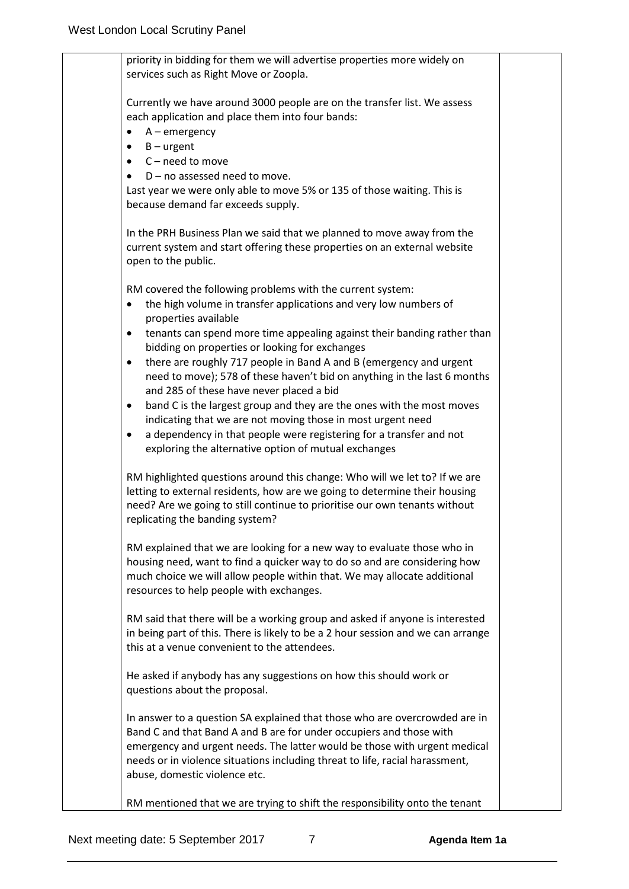priority in bidding for them we will advertise properties more widely on services such as Right Move or Zoopla. Currently we have around 3000 people are on the transfer list. We assess each application and place them into four bands: • A – emergency  $\bullet$  B – urgent • C – need to move  $D$  – no assessed need to move. Last year we were only able to move 5% or 135 of those waiting. This is because demand far exceeds supply. In the PRH Business Plan we said that we planned to move away from the current system and start offering these properties on an external website open to the public. RM covered the following problems with the current system: • the high volume in transfer applications and very low numbers of properties available • tenants can spend more time appealing against their banding rather than bidding on properties or looking for exchanges • there are roughly 717 people in Band A and B (emergency and urgent need to move); 578 of these haven't bid on anything in the last 6 months and 285 of these have never placed a bid • band C is the largest group and they are the ones with the most moves indicating that we are not moving those in most urgent need a dependency in that people were registering for a transfer and not exploring the alternative option of mutual exchanges RM highlighted questions around this change: Who will we let to? If we are letting to external residents, how are we going to determine their housing need? Are we going to still continue to prioritise our own tenants without replicating the banding system? RM explained that we are looking for a new way to evaluate those who in housing need, want to find a quicker way to do so and are considering how much choice we will allow people within that. We may allocate additional resources to help people with exchanges. RM said that there will be a working group and asked if anyone is interested in being part of this. There is likely to be a 2 hour session and we can arrange this at a venue convenient to the attendees. He asked if anybody has any suggestions on how this should work or questions about the proposal. In answer to a question SA explained that those who are overcrowded are in Band C and that Band A and B are for under occupiers and those with emergency and urgent needs. The latter would be those with urgent medical needs or in violence situations including threat to life, racial harassment, abuse, domestic violence etc. RM mentioned that we are trying to shift the responsibility onto the tenant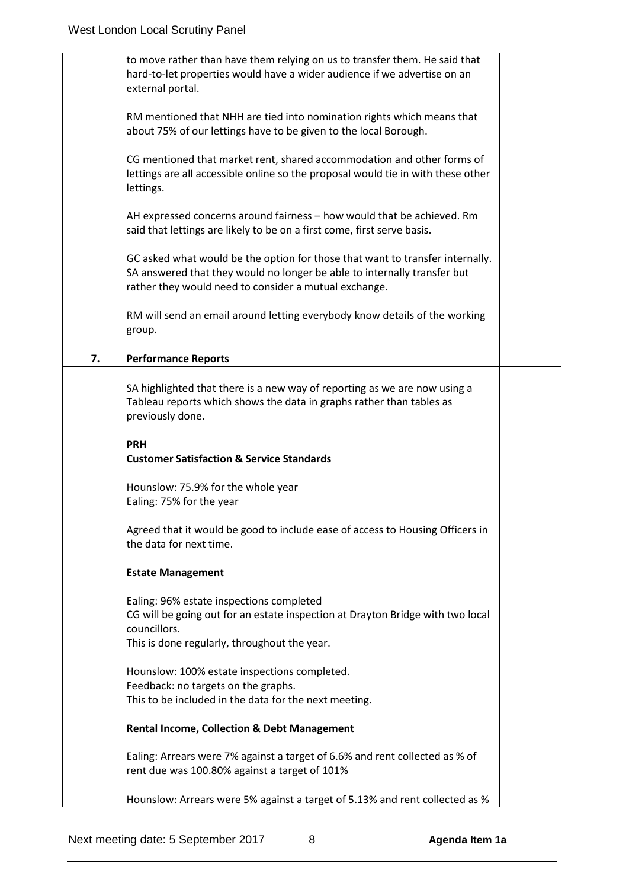|    | to move rather than have them relying on us to transfer them. He said that<br>hard-to-let properties would have a wider audience if we advertise on an<br>external portal.                                         |  |
|----|--------------------------------------------------------------------------------------------------------------------------------------------------------------------------------------------------------------------|--|
|    | RM mentioned that NHH are tied into nomination rights which means that<br>about 75% of our lettings have to be given to the local Borough.                                                                         |  |
|    | CG mentioned that market rent, shared accommodation and other forms of<br>lettings are all accessible online so the proposal would tie in with these other<br>lettings.                                            |  |
|    | AH expressed concerns around fairness - how would that be achieved. Rm<br>said that lettings are likely to be on a first come, first serve basis.                                                                  |  |
|    | GC asked what would be the option for those that want to transfer internally.<br>SA answered that they would no longer be able to internally transfer but<br>rather they would need to consider a mutual exchange. |  |
|    | RM will send an email around letting everybody know details of the working<br>group.                                                                                                                               |  |
| 7. | <b>Performance Reports</b>                                                                                                                                                                                         |  |
|    | SA highlighted that there is a new way of reporting as we are now using a<br>Tableau reports which shows the data in graphs rather than tables as<br>previously done.                                              |  |
|    | <b>PRH</b><br><b>Customer Satisfaction &amp; Service Standards</b>                                                                                                                                                 |  |
|    | Hounslow: 75.9% for the whole year<br>Ealing: 75% for the year                                                                                                                                                     |  |
|    | Agreed that it would be good to include ease of access to Housing Officers in<br>the data for next time.                                                                                                           |  |
|    | <b>Estate Management</b>                                                                                                                                                                                           |  |
|    | Ealing: 96% estate inspections completed<br>CG will be going out for an estate inspection at Drayton Bridge with two local<br>councillors.<br>This is done regularly, throughout the year.                         |  |
|    | Hounslow: 100% estate inspections completed.<br>Feedback: no targets on the graphs.                                                                                                                                |  |
|    | This to be included in the data for the next meeting.                                                                                                                                                              |  |
|    | <b>Rental Income, Collection &amp; Debt Management</b>                                                                                                                                                             |  |
|    | Ealing: Arrears were 7% against a target of 6.6% and rent collected as % of<br>rent due was 100.80% against a target of 101%                                                                                       |  |
|    | Hounslow: Arrears were 5% against a target of 5.13% and rent collected as %                                                                                                                                        |  |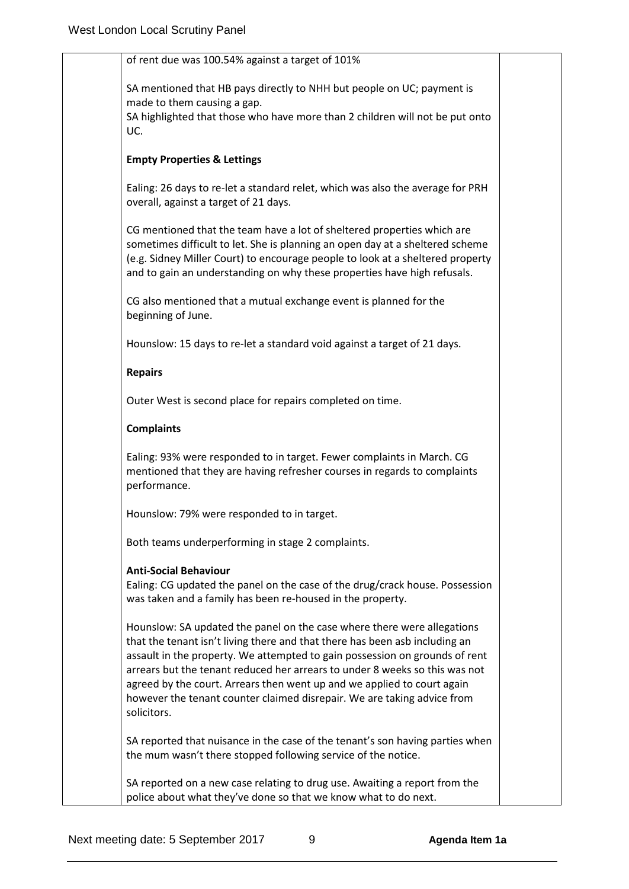| of rent due was 100.54% against a target of 101%                                                                                                                                                                                                                                                                                                                                                                                                                                          |  |
|-------------------------------------------------------------------------------------------------------------------------------------------------------------------------------------------------------------------------------------------------------------------------------------------------------------------------------------------------------------------------------------------------------------------------------------------------------------------------------------------|--|
| SA mentioned that HB pays directly to NHH but people on UC; payment is<br>made to them causing a gap.                                                                                                                                                                                                                                                                                                                                                                                     |  |
| SA highlighted that those who have more than 2 children will not be put onto<br>UC.                                                                                                                                                                                                                                                                                                                                                                                                       |  |
| <b>Empty Properties &amp; Lettings</b>                                                                                                                                                                                                                                                                                                                                                                                                                                                    |  |
| Ealing: 26 days to re-let a standard relet, which was also the average for PRH<br>overall, against a target of 21 days.                                                                                                                                                                                                                                                                                                                                                                   |  |
| CG mentioned that the team have a lot of sheltered properties which are<br>sometimes difficult to let. She is planning an open day at a sheltered scheme<br>(e.g. Sidney Miller Court) to encourage people to look at a sheltered property<br>and to gain an understanding on why these properties have high refusals.                                                                                                                                                                    |  |
| CG also mentioned that a mutual exchange event is planned for the<br>beginning of June.                                                                                                                                                                                                                                                                                                                                                                                                   |  |
| Hounslow: 15 days to re-let a standard void against a target of 21 days.                                                                                                                                                                                                                                                                                                                                                                                                                  |  |
| <b>Repairs</b>                                                                                                                                                                                                                                                                                                                                                                                                                                                                            |  |
| Outer West is second place for repairs completed on time.                                                                                                                                                                                                                                                                                                                                                                                                                                 |  |
| <b>Complaints</b>                                                                                                                                                                                                                                                                                                                                                                                                                                                                         |  |
| Ealing: 93% were responded to in target. Fewer complaints in March. CG<br>mentioned that they are having refresher courses in regards to complaints<br>performance.                                                                                                                                                                                                                                                                                                                       |  |
| Hounslow: 79% were responded to in target.                                                                                                                                                                                                                                                                                                                                                                                                                                                |  |
| Both teams underperforming in stage 2 complaints.                                                                                                                                                                                                                                                                                                                                                                                                                                         |  |
| <b>Anti-Social Behaviour</b><br>Ealing: CG updated the panel on the case of the drug/crack house. Possession<br>was taken and a family has been re-housed in the property.                                                                                                                                                                                                                                                                                                                |  |
| Hounslow: SA updated the panel on the case where there were allegations<br>that the tenant isn't living there and that there has been asb including an<br>assault in the property. We attempted to gain possession on grounds of rent<br>arrears but the tenant reduced her arrears to under 8 weeks so this was not<br>agreed by the court. Arrears then went up and we applied to court again<br>however the tenant counter claimed disrepair. We are taking advice from<br>solicitors. |  |
| SA reported that nuisance in the case of the tenant's son having parties when<br>the mum wasn't there stopped following service of the notice.                                                                                                                                                                                                                                                                                                                                            |  |
|                                                                                                                                                                                                                                                                                                                                                                                                                                                                                           |  |
| SA reported on a new case relating to drug use. Awaiting a report from the<br>police about what they've done so that we know what to do next.                                                                                                                                                                                                                                                                                                                                             |  |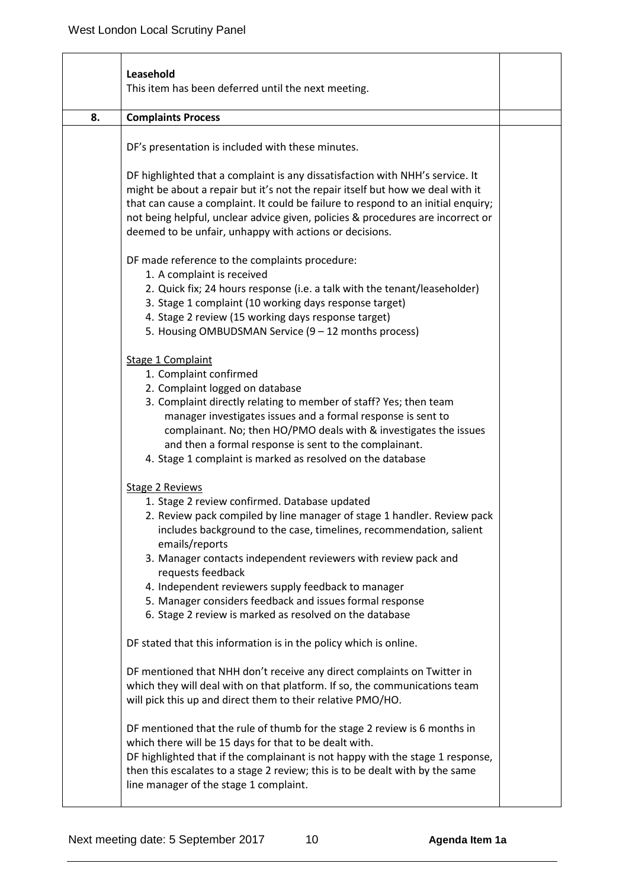|    | Leasehold<br>This item has been deferred until the next meeting.                                                                                                                                                                                                                                                                                                                                                                                                                                                 |  |
|----|------------------------------------------------------------------------------------------------------------------------------------------------------------------------------------------------------------------------------------------------------------------------------------------------------------------------------------------------------------------------------------------------------------------------------------------------------------------------------------------------------------------|--|
| 8. | <b>Complaints Process</b>                                                                                                                                                                                                                                                                                                                                                                                                                                                                                        |  |
|    | DF's presentation is included with these minutes.                                                                                                                                                                                                                                                                                                                                                                                                                                                                |  |
|    | DF highlighted that a complaint is any dissatisfaction with NHH's service. It<br>might be about a repair but it's not the repair itself but how we deal with it<br>that can cause a complaint. It could be failure to respond to an initial enquiry;<br>not being helpful, unclear advice given, policies & procedures are incorrect or<br>deemed to be unfair, unhappy with actions or decisions.                                                                                                               |  |
|    | DF made reference to the complaints procedure:<br>1. A complaint is received<br>2. Quick fix; 24 hours response (i.e. a talk with the tenant/leaseholder)<br>3. Stage 1 complaint (10 working days response target)<br>4. Stage 2 review (15 working days response target)<br>5. Housing OMBUDSMAN Service (9 - 12 months process)                                                                                                                                                                               |  |
|    | Stage 1 Complaint<br>1. Complaint confirmed<br>2. Complaint logged on database<br>3. Complaint directly relating to member of staff? Yes; then team<br>manager investigates issues and a formal response is sent to<br>complainant. No; then HO/PMO deals with & investigates the issues<br>and then a formal response is sent to the complainant.<br>4. Stage 1 complaint is marked as resolved on the database                                                                                                 |  |
|    | <b>Stage 2 Reviews</b><br>1. Stage 2 review confirmed. Database updated<br>2. Review pack compiled by line manager of stage 1 handler. Review pack<br>includes background to the case, timelines, recommendation, salient<br>emails/reports<br>3. Manager contacts independent reviewers with review pack and<br>requests feedback<br>4. Independent reviewers supply feedback to manager<br>5. Manager considers feedback and issues formal response<br>6. Stage 2 review is marked as resolved on the database |  |
|    | DF stated that this information is in the policy which is online.<br>DF mentioned that NHH don't receive any direct complaints on Twitter in<br>which they will deal with on that platform. If so, the communications team<br>will pick this up and direct them to their relative PMO/HO.                                                                                                                                                                                                                        |  |
|    | DF mentioned that the rule of thumb for the stage 2 review is 6 months in<br>which there will be 15 days for that to be dealt with.<br>DF highlighted that if the complainant is not happy with the stage 1 response,<br>then this escalates to a stage 2 review; this is to be dealt with by the same<br>line manager of the stage 1 complaint.                                                                                                                                                                 |  |